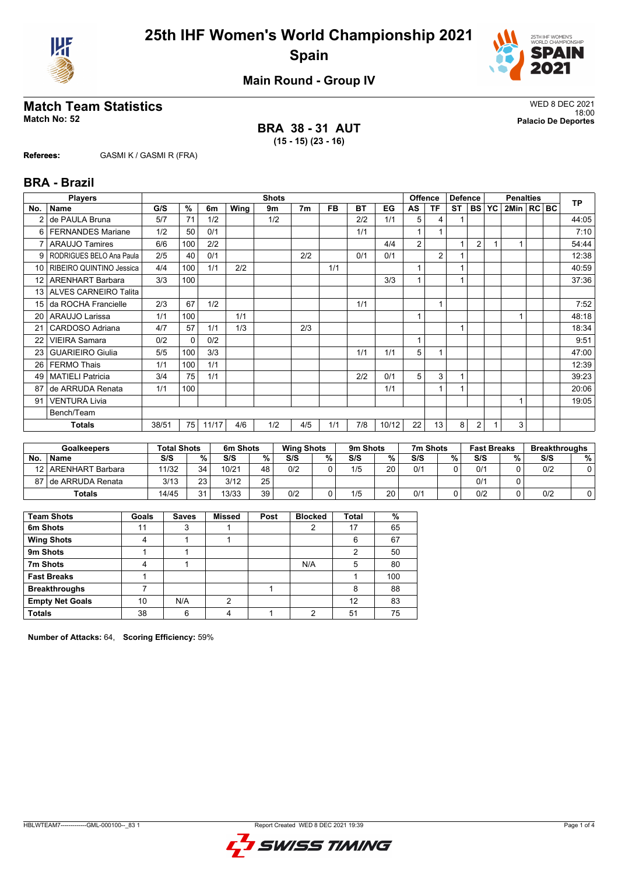



## **Main Round - Group IV**

# **Match Team Statistics** WED 8 DEC 2021

**BRA 38 - 31 AUT (15 - 15) (23 - 16)**

18:00 **Match No: 52 Palacio De Deportes**

**Referees:** GASMI K / GASMI R (FRA)

## **BRA - Brazil**

|                 | <b>Players</b>           | <b>Shots</b> |              |       |      |     |                |           |     |       |    | <b>Offence</b><br><b>Defence</b> |           |                | <b>Penalties</b> |                |  |  | <b>TP</b> |
|-----------------|--------------------------|--------------|--------------|-------|------|-----|----------------|-----------|-----|-------|----|----------------------------------|-----------|----------------|------------------|----------------|--|--|-----------|
| No.             | <b>Name</b>              | G/S          | %            | 6m    | Wing | 9m  | 7 <sub>m</sub> | <b>FB</b> | BT  | EG    | AS | ΤF                               | <b>ST</b> | <b>BS</b>      | <b>YC</b>        | 2Min   RC   BC |  |  |           |
| $\overline{2}$  | de PAULA Bruna           | 5/7          | 71           | 1/2   |      | 1/2 |                |           | 2/2 | 1/1   | 5  | 4                                |           |                |                  |                |  |  | 44:05     |
| 6               | <b>FERNANDES Mariane</b> | 1/2          | 50           | 0/1   |      |     |                |           | 1/1 |       |    |                                  |           |                |                  |                |  |  | 7:10      |
| 7               | <b>ARAUJO Tamires</b>    | 6/6          | 100          | 2/2   |      |     |                |           |     | 4/4   | 2  |                                  | 1         | $\overline{2}$ |                  |                |  |  | 54:44     |
| 9               | RODRIGUES BELO Ana Paula | 2/5          | 40           | 0/1   |      |     | 2/2            |           | 0/1 | 0/1   |    | $\overline{2}$                   |           |                |                  |                |  |  | 12:38     |
| 10 <sup>1</sup> | RIBEIRO QUINTINO Jessica | 4/4          | 100          | 1/1   | 2/2  |     |                | 1/1       |     |       | 1  |                                  |           |                |                  |                |  |  | 40:59     |
| 12 <sub>1</sub> | <b>ARENHART Barbara</b>  | 3/3          | 100          |       |      |     |                |           |     | 3/3   |    |                                  |           |                |                  |                |  |  | 37:36     |
|                 | 13 ALVES CARNEIRO Talita |              |              |       |      |     |                |           |     |       |    |                                  |           |                |                  |                |  |  |           |
| 15 <sup>1</sup> | da ROCHA Francielle      | 2/3          | 67           | 1/2   |      |     |                |           | 1/1 |       |    | 1                                |           |                |                  |                |  |  | 7:52      |
| 20              | ARAUJO Larissa           | 1/1          | 100          |       | 1/1  |     |                |           |     |       | 4  |                                  |           |                |                  |                |  |  | 48:18     |
| 21              | CARDOSO Adriana          | 4/7          | 57           | 1/1   | 1/3  |     | 2/3            |           |     |       |    |                                  | 1         |                |                  |                |  |  | 18:34     |
| 22              | <b>VIEIRA Samara</b>     | 0/2          | $\mathbf{0}$ | 0/2   |      |     |                |           |     |       | 1  |                                  |           |                |                  |                |  |  | 9:51      |
| 23              | <b>GUARIEIRO Giulia</b>  | 5/5          | 100          | 3/3   |      |     |                |           | 1/1 | 1/1   | 5  |                                  |           |                |                  |                |  |  | 47:00     |
| 26              | <b>FERMO Thais</b>       | 1/1          | 100          | 1/1   |      |     |                |           |     |       |    |                                  |           |                |                  |                |  |  | 12:39     |
| 49              | <b>MATIELI Patricia</b>  | 3/4          | 75           | 1/1   |      |     |                |           | 2/2 | 0/1   | 5  | 3                                | 1         |                |                  |                |  |  | 39:23     |
| 87              | de ARRUDA Renata         | 1/1          | 100          |       |      |     |                |           |     | 1/1   |    |                                  |           |                |                  |                |  |  | 20:06     |
| 91              | <b>VENTURA Livia</b>     |              |              |       |      |     |                |           |     |       |    |                                  |           |                |                  |                |  |  | 19:05     |
|                 | Bench/Team               |              |              |       |      |     |                |           |     |       |    |                                  |           |                |                  |                |  |  |           |
|                 | <b>Totals</b>            | 38/51        | 75           | 11/17 | 4/6  | 1/2 | 4/5            | 1/1       | 7/8 | 10/12 | 22 | 13                               | 8         | 2              |                  | 3              |  |  |           |

| <b>Goalkeepers</b> |                       | <b>Total Shots</b> |        | 6m Shots |        | <b>Wing Shots</b> |   | 9m Shots |    | 7m Shots |   | <b>Fast Breaks</b> |   | <b>Breakthroughs</b> |   |
|--------------------|-----------------------|--------------------|--------|----------|--------|-------------------|---|----------|----|----------|---|--------------------|---|----------------------|---|
| No.                | <b>Name</b>           | S/S                | $\%$ . | S/S      | $\%$ . | S/S               | % | S/S      | %  | S/S      | % | S/S                | % | S/S                  | % |
| 12                 | ARENHART Barbara      | 11/32              | 34     | 10/21    | 48     | 0/2               |   | 1/5      | 20 | 0/1      |   | 0/1                |   | 0/2                  |   |
|                    | 87 I de ARRUDA Renata | 3/13               | 23     | 3/12     | 25     |                   |   |          |    |          |   | 0/1                |   |                      |   |
| <b>Totals</b>      |                       | 14/45              | 24     | 13/33    | 39     | 0/2               |   | 1/5      | 20 | 0/1      |   | 0/2                |   | 0/2                  |   |

| <b>Team Shots</b>      | Goals | <b>Saves</b> | <b>Missed</b> | Post | <b>Blocked</b> | <b>Total</b> | %   |
|------------------------|-------|--------------|---------------|------|----------------|--------------|-----|
| 6m Shots               | 11    |              |               |      |                | 17           | 65  |
| <b>Wing Shots</b>      |       |              |               |      |                | 6            | 67  |
| 9m Shots               |       |              |               |      |                |              | 50  |
| 7m Shots               |       |              |               |      | N/A            | 5            | 80  |
| <b>Fast Breaks</b>     |       |              |               |      |                |              | 100 |
| <b>Breakthroughs</b>   |       |              |               |      |                | 8            | 88  |
| <b>Empty Net Goals</b> | 10    | N/A          | 2             |      |                | 12           | 83  |
| <b>Totals</b>          | 38    | 6            |               |      | ∩              | 51           | 75  |

**Number of Attacks:** 64, **Scoring Efficiency:** 59%

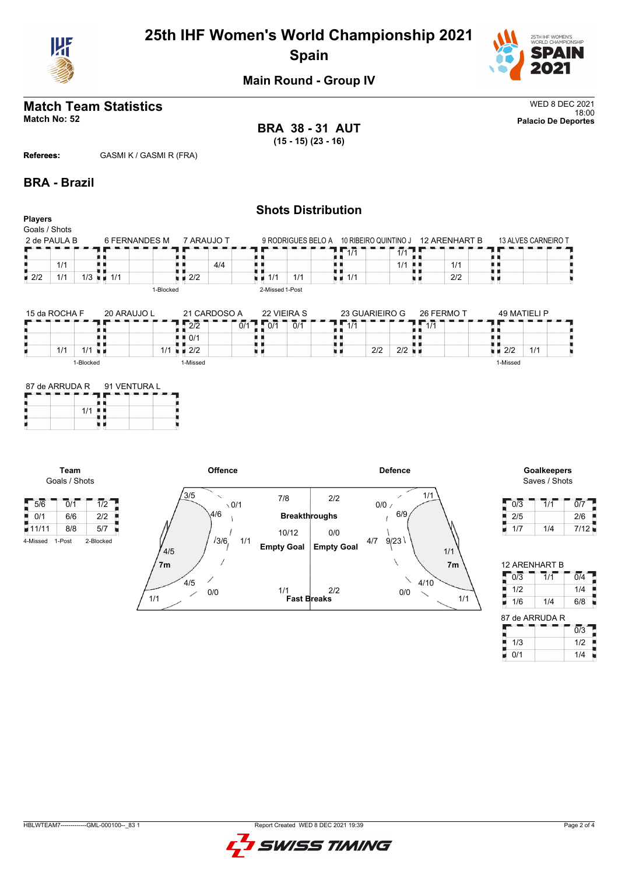

# **25th IHF Women's World Championship 2021 Spain**



## **Main Round - Group IV**

### **Match Team Statistics** WED 8 DEC 2021 18:00 **Match No: 52 Palacio De Deportes**

**BRA 38 - 31 AUT (15 - 15) (23 - 16)**

**Referees:** GASMI K / GASMI R (FRA)

## **BRA - Brazil**

### **Shots Distribution Players** Goals / Shots 2 de PAULA B 6 FERNANDES M 7 ARAUJO T 13 ALVES CARNEIRO T 9 RODRIGUES BELO A 10 RIBEIRO QUINTINO J 12 ARENHART B F п  $1/1$  1/1 89 ŋ j, A A n 1/1 н н 机电 4/4 ă,  $1/1$  $1/1$  $1/3$   $1/1$  $\frac{1}{2}$  2/2 1/1  $\frac{1}{2}$   $\frac{1}{2}$  2/2  $\frac{1}{2}$  1/1  $1/1$  1/1 u a 2/2 u p 1-Blocked 2-Missed 1-Post 15 da ROCHA F 21 CARDOSO A 22 VIEIRA S 23 GUARIEIRO G 26 FERMO T 49 MATIELI P 20 ARAUJO L 1/1  $1.077 - 0/1$  $1\sqrt{1/1}$ п п F  $2/2$  0/1 Ä j. п д h n e ÷ . . Ъ Ъ h ■ 0/1 U  $\frac{1}{2/2}$  $2/2$  1/1  $1/1$   $1/1$ u s  $1/1$ ■ 2/2 н. 1-Blocked 1-Missed 1-Missed

| 87 de ARRUDA R 91 VENTURA L |  |  |
|-----------------------------|--|--|
| 1/1                         |  |  |
|                             |  |  |



# Saves / Shots

| 0/3 | 1/1 | 0/7  |
|-----|-----|------|
| 2/5 |     | 2/6  |
| 1/7 | 1/4 | 7/12 |

| 12 ARENHART B  |     |     |  |  |  |  |  |  |  |
|----------------|-----|-----|--|--|--|--|--|--|--|
| 0/3            | 1/1 | 0/4 |  |  |  |  |  |  |  |
| 1/2            |     | 1/4 |  |  |  |  |  |  |  |
| 1/6            | 1/4 | 6/8 |  |  |  |  |  |  |  |
| 87 de ARRUDA R |     |     |  |  |  |  |  |  |  |

i<br>Termin

|     | 0/3 |  |  |  |  |  |  |  |  |  |
|-----|-----|--|--|--|--|--|--|--|--|--|
| 1/3 | 1/2 |  |  |  |  |  |  |  |  |  |
| n/1 | 1/4 |  |  |  |  |  |  |  |  |  |

 $5/6$  0/1  $1/2$ 

**Team** Goals / Shots

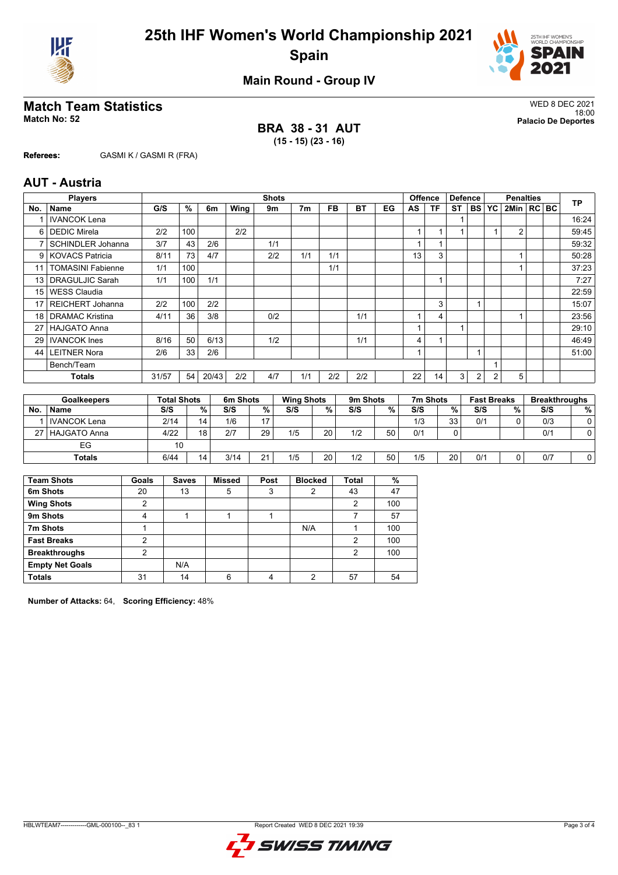



**Main Round - Group IV**

# **Match Team Statistics** WED 8 DEC 2021

**BRA 38 - 31 AUT (15 - 15) (23 - 16)**

18:00 **Match No: 52 Palacio De Deportes**

**Referees:** GASMI K / GASMI R (FRA)

## **AUT - Austria**

|                 | <b>Players</b>           |             | <b>Shots</b> |       |                              |     |                |           |           |    |    | <b>Offence</b><br><b>Defence</b> |           |           | <b>Penalties</b> |                |  |  | <b>TP</b>             |
|-----------------|--------------------------|-------------|--------------|-------|------------------------------|-----|----------------|-----------|-----------|----|----|----------------------------------|-----------|-----------|------------------|----------------|--|--|-----------------------|
| No.             | <b>Name</b>              | G/S         | %            | 6m    | Wing                         | 9m  | 7 <sub>m</sub> | <b>FB</b> | BT        | EG | AS | ΤF                               | <b>ST</b> | <b>BS</b> | YC               | 2Min   RC   BC |  |  |                       |
|                 | <b>IVANCOK Lena</b>      |             |              |       |                              |     |                |           |           |    |    |                                  |           |           |                  |                |  |  | 16:24                 |
| 6               | <b>DEDIC Mirela</b>      | 2/2         | 100          |       | 2/2                          |     |                |           |           |    |    |                                  |           |           |                  | $\overline{2}$ |  |  | 59:45                 |
| 7               | <b>SCHINDLER Johanna</b> | 3/7         | 43           | 2/6   |                              | 1/1 |                |           |           |    |    |                                  |           |           |                  |                |  |  | 59:32                 |
|                 | 9 KOVACS Patricia        | 8/11        | 73           | 4/7   |                              | 2/2 | 1/1            | 1/1       |           |    | 13 | 3                                |           |           |                  |                |  |  | 50:28                 |
| 11              | <b>TOMASINI Fabienne</b> | 1/1         | 100          |       |                              |     |                | 1/1       |           |    |    |                                  |           |           |                  |                |  |  | 37:23                 |
| 13              | <b>DRAGULJIC Sarah</b>   | 1/1         | 100          | 1/1   |                              |     |                |           |           |    |    |                                  |           |           |                  |                |  |  | 7:27                  |
| 15 <sup>1</sup> | WESS Claudia             |             |              |       |                              |     |                |           |           |    |    |                                  |           |           |                  |                |  |  | 22:59                 |
| 17 <sup>1</sup> | <b>REICHERT Johanna</b>  | 2/2         | 100          | 2/2   |                              |     |                |           |           |    |    | 3                                |           |           |                  |                |  |  | 15:07                 |
| 18 <sup>1</sup> | <b>DRAMAC Kristina</b>   | 4/11        | 36           | 3/8   |                              | 0/2 |                |           | 1/1       |    |    | 4                                |           |           |                  |                |  |  | 23:56                 |
| 27              | <b>HAJGATO Anna</b>      |             |              |       |                              |     |                |           |           |    |    |                                  |           |           |                  |                |  |  | 29:10                 |
| 29              | <b>IVANCOK</b> Ines      | 8/16        | 50           | 6/13  |                              | 1/2 |                |           | 1/1       |    | 4  |                                  |           |           |                  |                |  |  | 46:49                 |
| 44              | <b>LEITNER Nora</b>      | 2/6         | 33           | 2/6   |                              |     |                |           |           |    |    |                                  |           |           |                  |                |  |  | 51:00                 |
|                 | Bench/Team               |             |              |       |                              |     |                |           |           |    |    |                                  |           |           |                  |                |  |  |                       |
|                 | Totals                   | 31/57       | 54           | 20/43 | 2/2                          | 4/7 | 1/1            | 2/2       | 2/2       |    | 22 | 14                               | 3         | 2         | 2                | 5              |  |  |                       |
|                 |                          |             |              |       |                              |     |                |           |           |    |    |                                  |           |           |                  |                |  |  |                       |
|                 | Coolisanova              | Tatal Chata |              |       | $C_{\rm max}$ $C_{\rm heat}$ |     | Wing Chata     |           | $0m$ $0n$ |    |    | $7nn$ Chata                      |           |           | East Drasks      |                |  |  | <b>Deanlitheaughn</b> |

| Goalkeepers |                     | Total Shots |        | 6m Shots |    | <b>Wing Shots</b> |    | 9m Shots |    | 7m Shots |    | <b>Fast Breaks</b> |   | Breakthroughs |    |
|-------------|---------------------|-------------|--------|----------|----|-------------------|----|----------|----|----------|----|--------------------|---|---------------|----|
| No.         | <b>Name</b>         | S/S         | $\%$ . | S/S      | %  | S/S               | %  | S/S      | %  | S/S      | %  | S/S                | % | S/S           | %. |
|             | <b>IVANCOK Lena</b> | 2/14        | 14     | 1/6      | 17 |                   |    |          |    | 1/3      | 33 | 0/1                |   | 0/3           |    |
|             | 27 HAJGATO Anna     | 4/22        | 18     | 2/7      | 29 | 1/5               | 20 | 1/2      | 50 | 0/1      |    |                    |   | 0/1           |    |
|             | EG                  | 10          |        |          |    |                   |    |          |    |          |    |                    |   |               |    |
|             | <b>Totals</b>       | 6/44        | 14     | 3/14     | 21 | 1/5               | 20 | 1/2      | 50 | 1/5      | 20 | 0/1                |   | 0/7           |    |

| <b>Team Shots</b>      | Goals          | <b>Saves</b> | <b>Missed</b> | Post | <b>Blocked</b> | <b>Total</b> | %   |
|------------------------|----------------|--------------|---------------|------|----------------|--------------|-----|
| 6m Shots               | 20             | 13           | 5             | 3    | 2              | 43           | 47  |
| <b>Wing Shots</b>      | $\overline{2}$ |              |               |      |                | 2            | 100 |
| 9m Shots               | 4              |              |               |      |                |              | 57  |
| 7m Shots               |                |              |               |      | N/A            |              | 100 |
| <b>Fast Breaks</b>     | ົ              |              |               |      |                | 2            | 100 |
| <b>Breakthroughs</b>   | ົ              |              |               |      |                | າ            | 100 |
| <b>Empty Net Goals</b> |                | N/A          |               |      |                |              |     |
| <b>Totals</b>          | 31             | 14           | 6             | 4    | 2              | 57           | 54  |

**Number of Attacks:** 64, **Scoring Efficiency:** 48%